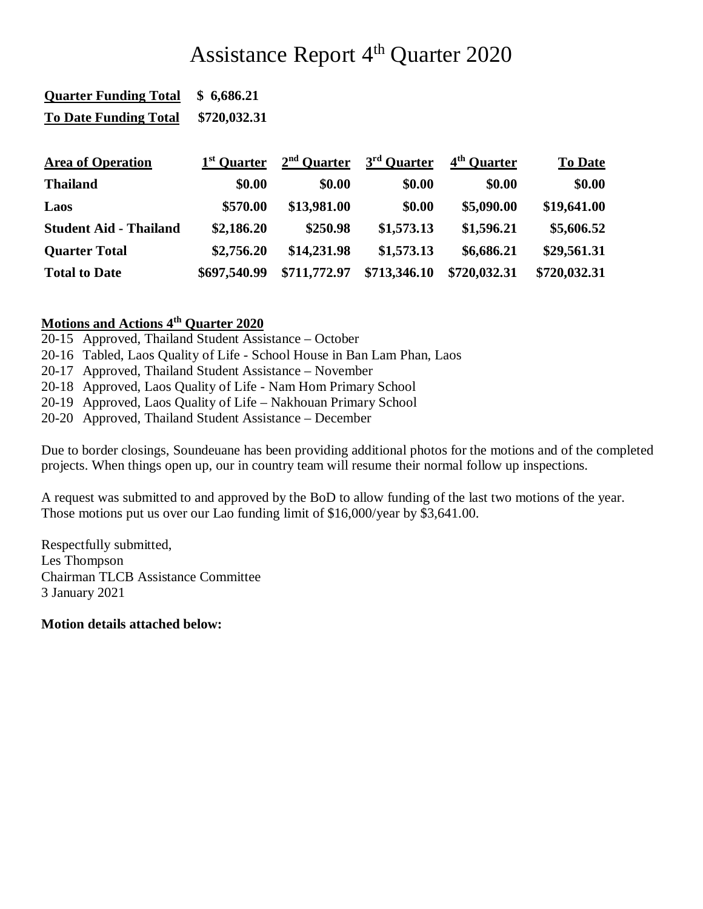## Assistance Report 4<sup>th</sup> Quarter 2020

| <b>Quarter Funding Total</b>  | \$6,686.21              |               |                         |                         |                |
|-------------------------------|-------------------------|---------------|-------------------------|-------------------------|----------------|
| <b>To Date Funding Total</b>  | \$720,032.31            |               |                         |                         |                |
| <b>Area of Operation</b>      | 1 <sup>st</sup> Quarter | $2nd$ Quarter | 3 <sup>rd</sup> Quarter | 4 <sup>th</sup> Quarter | <b>To Date</b> |
| <b>Thailand</b>               | \$0.00                  | \$0.00        | \$0.00                  | \$0.00                  | \$0.00         |
| Laos                          | \$570.00                | \$13,981.00   | \$0.00                  | \$5,090.00              | \$19,641.00    |
| <b>Student Aid - Thailand</b> | \$2,186.20              | \$250.98      | \$1,573.13              | \$1,596.21              | \$5,606.52     |
| <b>Quarter Total</b>          | \$2,756.20              | \$14,231.98   | \$1,573.13              | \$6,686.21              | \$29,561.31    |
| <b>Total to Date</b>          | \$697,540.99            | \$711,772.97  | \$713,346.10            | \$720,032.31            | \$720,032.31   |

## **Motions and Actions 4th Quarter 2020**

- 20-15 Approved, Thailand Student Assistance October
- 20-16 Tabled, Laos Quality of Life School House in Ban Lam Phan, Laos
- 20-17 Approved, Thailand Student Assistance November
- 20-18 Approved, Laos Quality of Life Nam Hom Primary School
- 20-19 Approved, Laos Quality of Life Nakhouan Primary School
- 20-20 Approved, Thailand Student Assistance December

Due to border closings, Soundeuane has been providing additional photos for the motions and of the completed projects. When things open up, our in country team will resume their normal follow up inspections.

A request was submitted to and approved by the BoD to allow funding of the last two motions of the year. Those motions put us over our Lao funding limit of \$16,000/year by \$3,641.00.

Respectfully submitted, Les Thompson Chairman TLCB Assistance Committee 3 January 2021

**Motion details attached below:**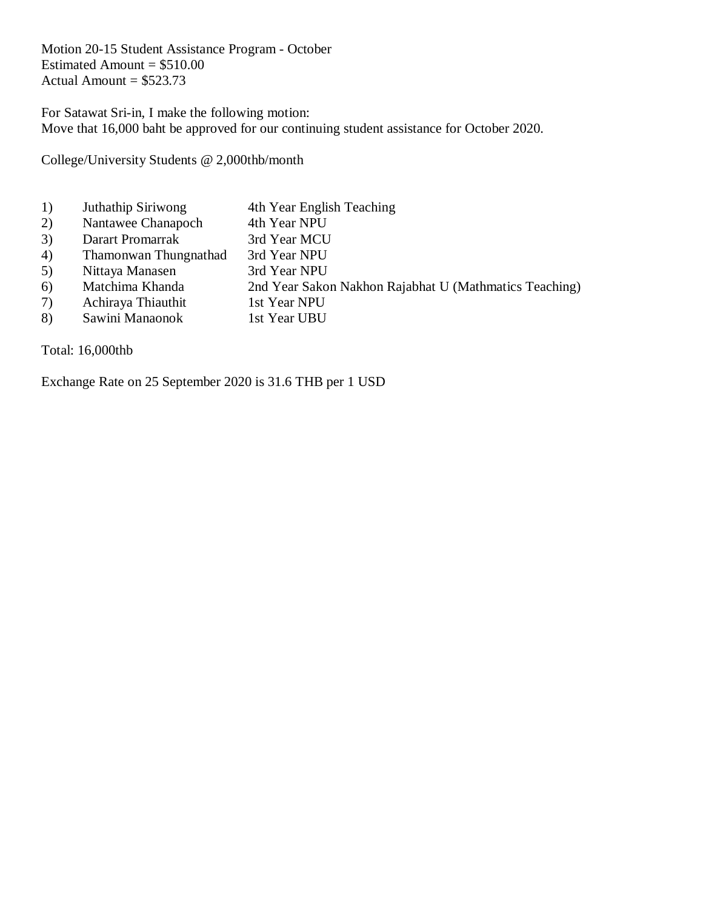Motion 20-15 Student Assistance Program - October Estimated Amount  $= $510.00$ Actual Amount  $= $523.73$ 

For Satawat Sri-in, I make the following motion: Move that 16,000 baht be approved for our continuing student assistance for October 2020.

College/University Students @ 2,000thb/month

- 1) Juthathip Siriwong 4th Year English Teaching
- 2) Nantawee Chanapoch 4th Year NPU
- 3) Darart Promarrak 3rd Year MCU
- 4) Thamonwan Thungnathad 3rd Year NPU
- 5) Nittaya Manasen 3rd Year NPU
- 6) Matchima Khanda 2nd Year Sakon Nakhon Rajabhat U (Mathmatics Teaching)
- 7) Achiraya Thiauthit 1st Year NPU
- 8) Sawini Manaonok 1st Year UBU

Total: 16,000thb

Exchange Rate on 25 September 2020 is 31.6 THB per 1 USD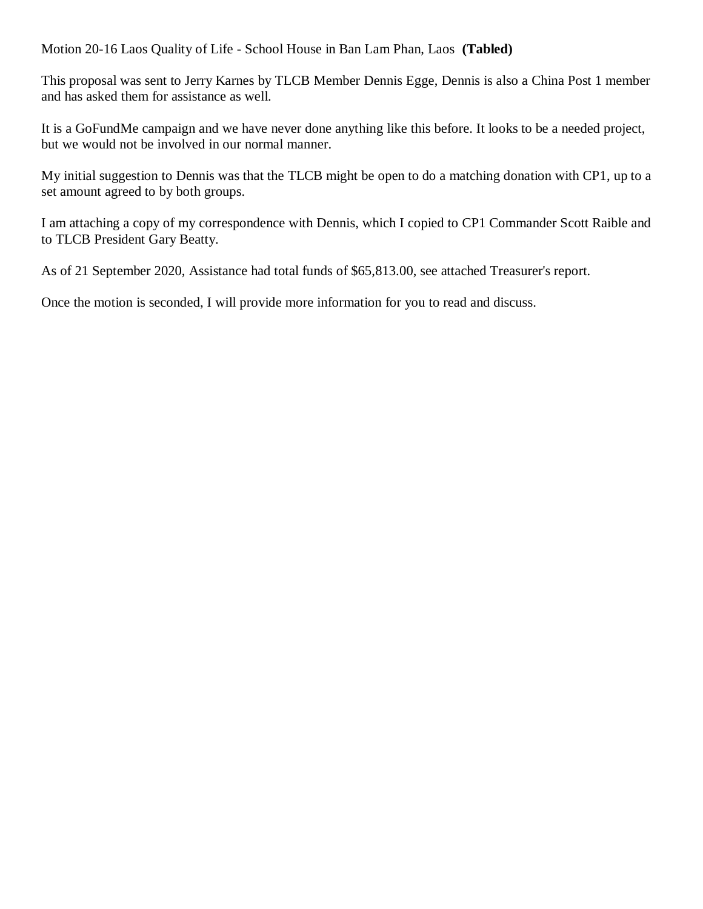Motion 20-16 Laos Quality of Life - School House in Ban Lam Phan, Laos **(Tabled)**

This proposal was sent to Jerry Karnes by TLCB Member Dennis Egge, Dennis is also a China Post 1 member and has asked them for assistance as well.

It is a GoFundMe campaign and we have never done anything like this before. It looks to be a needed project, but we would not be involved in our normal manner.

My initial suggestion to Dennis was that the TLCB might be open to do a matching donation with CP1, up to a set amount agreed to by both groups.

I am attaching a copy of my correspondence with Dennis, which I copied to CP1 Commander Scott Raible and to TLCB President Gary Beatty.

As of 21 September 2020, Assistance had total funds of \$65,813.00, see attached Treasurer's report.

Once the motion is seconded, I will provide more information for you to read and discuss.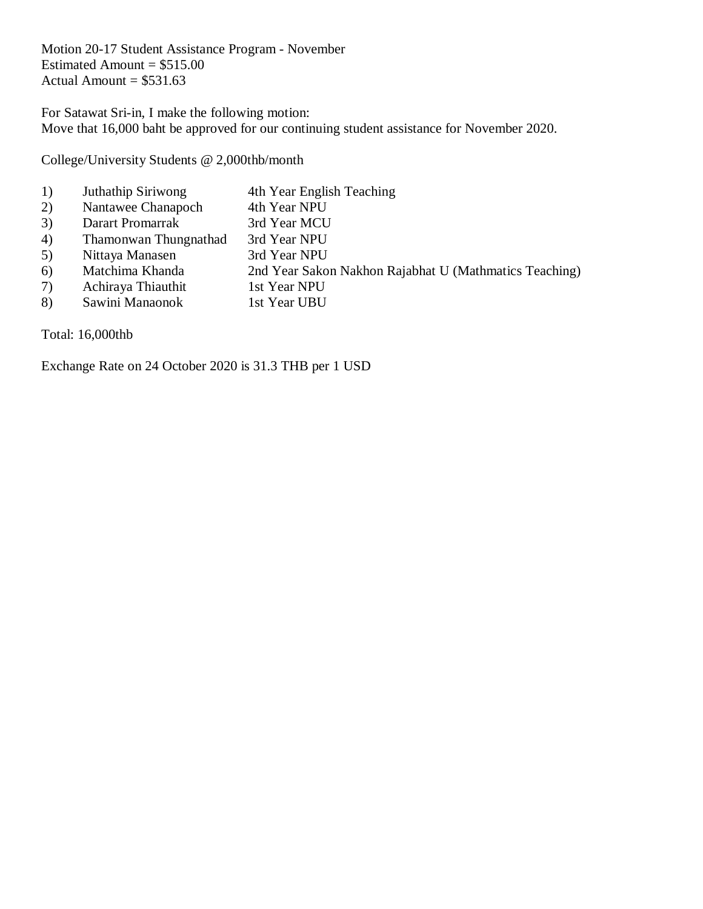Motion 20-17 Student Assistance Program - November Estimated Amount =  $$515.00$ Actual Amount  $= $531.63$ 

For Satawat Sri-in, I make the following motion: Move that 16,000 baht be approved for our continuing student assistance for November 2020.

College/University Students @ 2,000thb/month

- 1) Juthathip Siriwong 4th Year English Teaching
- 2) Nantawee Chanapoch 4th Year NPU
- 3) Darart Promarrak 3rd Year MCU
- 4) Thamonwan Thungnathad 3rd Year NPU
- 5) Nittaya Manasen 3rd Year NPU
- 6) Matchima Khanda 2nd Year Sakon Nakhon Rajabhat U (Mathmatics Teaching)
- 7) Achiraya Thiauthit 1st Year NPU
- 8) Sawini Manaonok 1st Year UBU

Total: 16,000thb

Exchange Rate on 24 October 2020 is 31.3 THB per 1 USD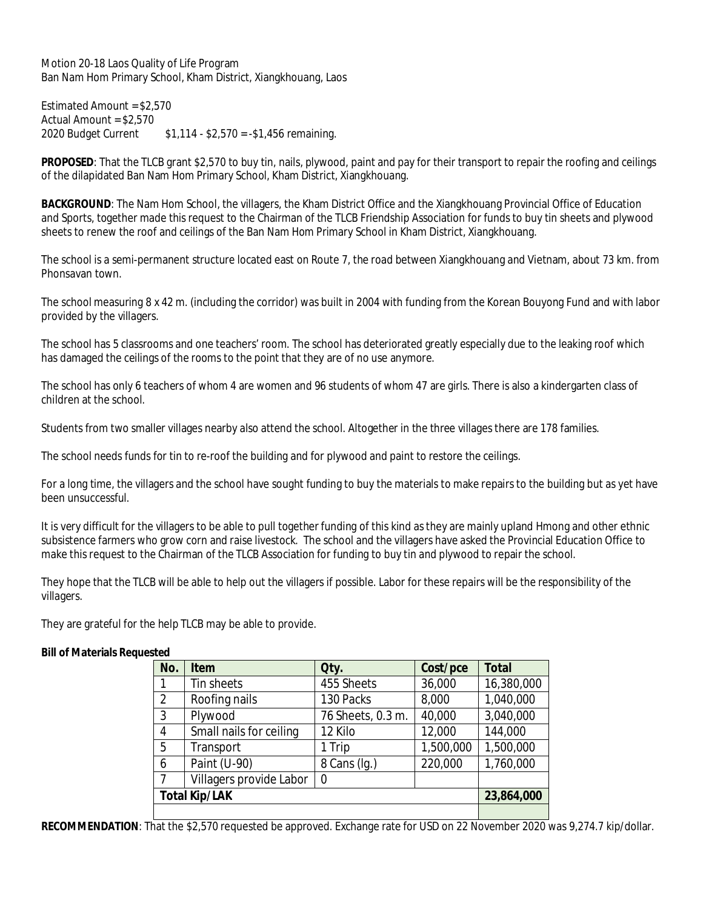Motion 20-18 Laos Quality of Life Program Ban Nam Hom Primary School, Kham District, Xiangkhouang, Laos

Estimated Amount = \$2,570 Actual Amount = \$2,570 2020 Budget Current \$1,114 - \$2,570 = -\$1,456 remaining.

**PROPOSED**: That the TLCB grant \$2,570 to buy tin, nails, plywood, paint and pay for their transport to repair the roofing and ceilings of the dilapidated Ban Nam Hom Primary School, Kham District, Xiangkhouang.

**BACKGROUND**: The Nam Hom School, the villagers, the Kham District Office and the Xiangkhouang Provincial Office of Education and Sports, together made this request to the Chairman of the TLCB Friendship Association for funds to buy tin sheets and plywood sheets to renew the roof and ceilings of the Ban Nam Hom Primary School in Kham District, Xiangkhouang.

The school is a semi-permanent structure located east on Route 7, the road between Xiangkhouang and Vietnam, about 73 km. from Phonsavan town.

The school measuring 8 x 42 m. (including the corridor) was built in 2004 with funding from the Korean Bouyong Fund and with labor provided by the villagers.

The school has 5 classrooms and one teachers' room. The school has deteriorated greatly especially due to the leaking roof which has damaged the ceilings of the rooms to the point that they are of no use anymore.

The school has only 6 teachers of whom 4 are women and 96 students of whom 47 are girls. There is also a kindergarten class of children at the school.

Students from two smaller villages nearby also attend the school. Altogether in the three villages there are 178 families.

The school needs funds for tin to re-roof the building and for plywood and paint to restore the ceilings.

For a long time, the villagers and the school have sought funding to buy the materials to make repairs to the building but as yet have been unsuccessful.

It is very difficult for the villagers to be able to pull together funding of this kind as they are mainly upland Hmong and other ethnic subsistence farmers who grow corn and raise livestock. The school and the villagers have asked the Provincial Education Office to make this request to the Chairman of the TLCB Association for funding to buy tin and plywood to repair the school.

They hope that the TLCB will be able to help out the villagers if possible. Labor for these repairs will be the responsibility of the villagers.

They are grateful for the help TLCB may be able to provide.

**Bill of Materials Requested**

| No.                  | <b>Item</b>             | Qty.              | Cost/pce   | Total      |
|----------------------|-------------------------|-------------------|------------|------------|
| 1                    | Tin sheets              | 455 Sheets        | 36,000     | 16,380,000 |
| $\overline{2}$       | Roofing nails           | 130 Packs         | 8,000      | 1,040,000  |
| 3                    | Plywood                 | 76 Sheets, 0.3 m. | 40,000     | 3,040,000  |
| 4                    | Small nails for ceiling | 12 Kilo           | 12,000     | 144,000    |
| 5                    | Transport               | 1 Trip            | 1,500,000  | 1,500,000  |
| 6                    | Paint (U-90)            | 8 Cans (lg.)      | 220,000    | 1,760,000  |
| 7                    | Villagers provide Labor | $\overline{0}$    |            |            |
| <b>Total Kip/LAK</b> |                         |                   | 23,864,000 |            |
|                      |                         |                   |            |            |

**RECOMMENDATION**: That the \$2,570 requested be approved. Exchange rate for USD on 22 November 2020 was 9,274.7 kip/dollar.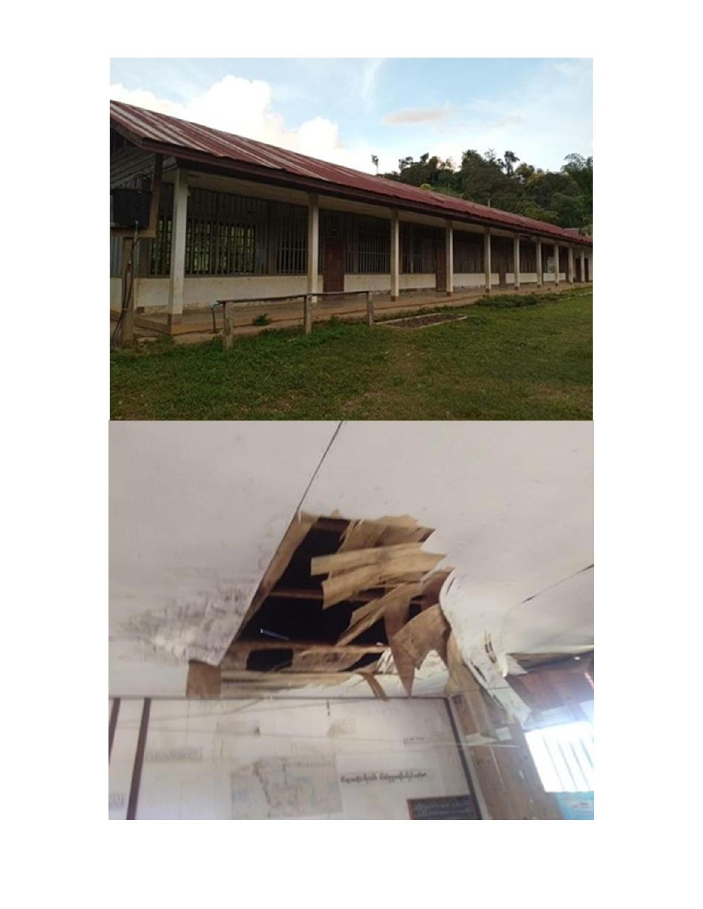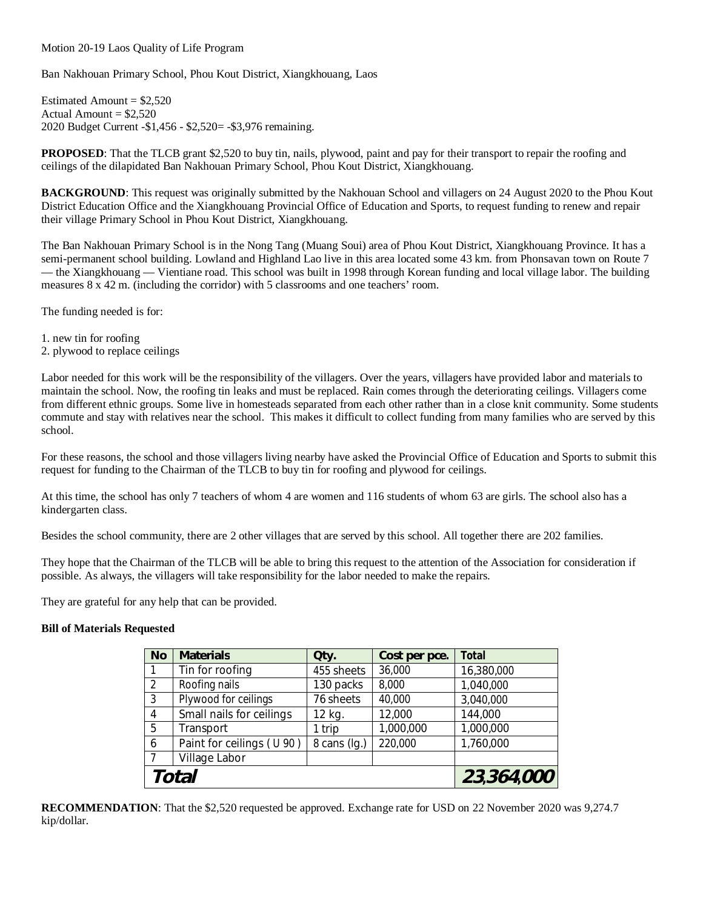Ban Nakhouan Primary School, Phou Kout District, Xiangkhouang, Laos

Estimated Amount =  $$2,520$ Actual Amount  $= $2,520$ 2020 Budget Current -\$1,456 - \$2,520= -\$3,976 remaining.

**PROPOSED**: That the TLCB grant \$2,520 to buy tin, nails, plywood, paint and pay for their transport to repair the roofing and ceilings of the dilapidated Ban Nakhouan Primary School, Phou Kout District, Xiangkhouang.

**BACKGROUND:** This request was originally submitted by the Nakhouan School and villagers on 24 August 2020 to the Phou Kout District Education Office and the Xiangkhouang Provincial Office of Education and Sports, to request funding to renew and repair their village Primary School in Phou Kout District, Xiangkhouang.

The Ban Nakhouan Primary School is in the Nong Tang (Muang Soui) area of Phou Kout District, Xiangkhouang Province. It has a semi-permanent school building. Lowland and Highland Lao live in this area located some 43 km. from Phonsavan town on Route 7 — the Xiangkhouang — Vientiane road. This school was built in 1998 through Korean funding and local village labor. The building measures 8 x 42 m. (including the corridor) with 5 classrooms and one teachers' room.

The funding needed is for:

- 1. new tin for roofing
- 2. plywood to replace ceilings

Labor needed for this work will be the responsibility of the villagers. Over the years, villagers have provided labor and materials to maintain the school. Now, the roofing tin leaks and must be replaced. Rain comes through the deteriorating ceilings. Villagers come from different ethnic groups. Some live in homesteads separated from each other rather than in a close knit community. Some students commute and stay with relatives near the school. This makes it difficult to collect funding from many families who are served by this school.

For these reasons, the school and those villagers living nearby have asked the Provincial Office of Education and Sports to submit this request for funding to the Chairman of the TLCB to buy tin for roofing and plywood for ceilings.

At this time, the school has only 7 teachers of whom 4 are women and 116 students of whom 63 are girls. The school also has a kindergarten class.

Besides the school community, there are 2 other villages that are served by this school. All together there are 202 families.

They hope that the Chairman of the TLCB will be able to bring this request to the attention of the Association for consideration if possible. As always, the villagers will take responsibility for the labor needed to make the repairs.

They are grateful for any help that can be provided.

## **Bill of Materials Requested**

| <b>No</b>      | <b>Materials</b>          | Qty.         | Cost per pce. | Total      |
|----------------|---------------------------|--------------|---------------|------------|
|                | Tin for roofing           | 455 sheets   | 36,000        | 16,380,000 |
| $\mathfrak{D}$ | Roofing nails             | 130 packs    | 8,000         | 1,040,000  |
| 3              | Plywood for ceilings      | 76 sheets    | 40,000        | 3,040,000  |
| 4              | Small nails for ceilings  | 12 kg.       | 12,000        | 144,000    |
| 5              | Transport                 | 1 trip       | 1,000,000     | 1,000,000  |
| 6              | Paint for ceilings (U 90) | 8 cans (Ig.) | 220,000       | 1,760,000  |
|                | Village Labor             |              |               |            |
| Total          |                           |              |               | 23,364,000 |

**RECOMMENDATION**: That the \$2,520 requested be approved. Exchange rate for USD on 22 November 2020 was 9,274.7 kip/dollar.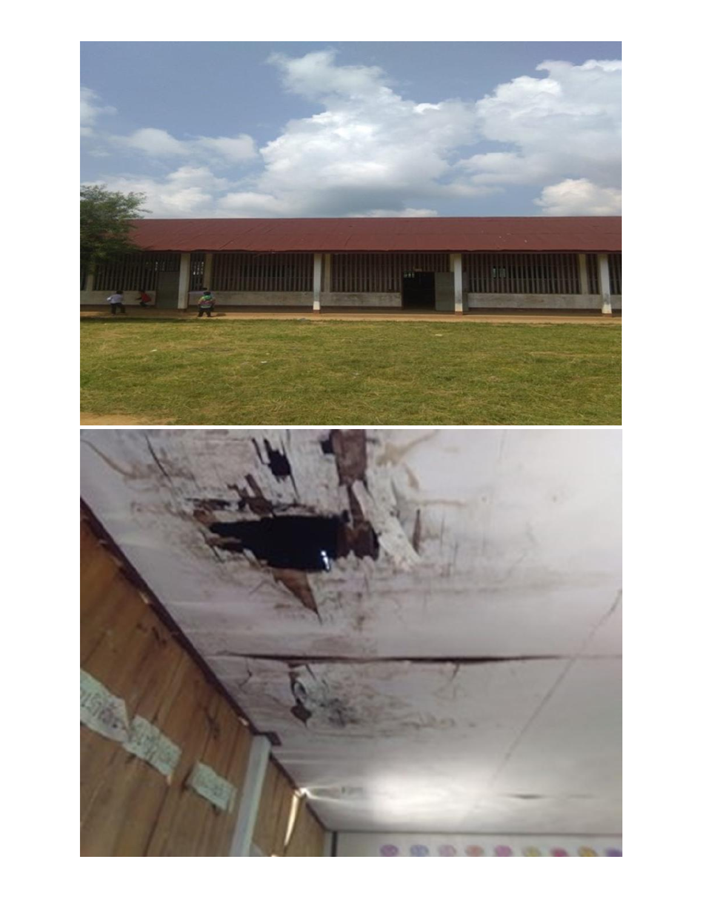